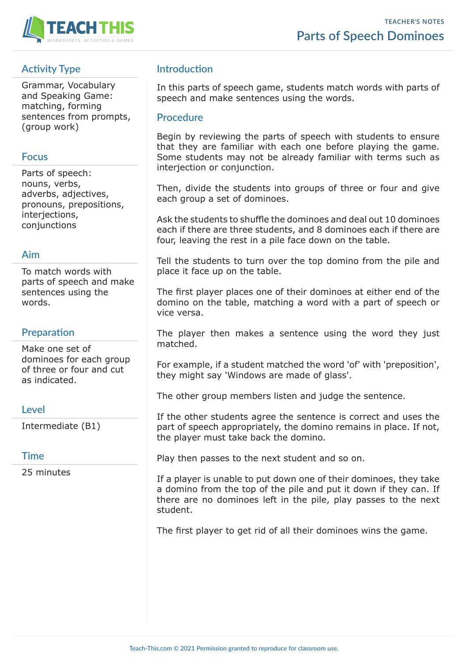

# **Activity Type**

Grammar, Vocabulary and Speaking Game: matching, forming sentences from prompts, (group work)

#### **Focus**

Parts of speech: nouns, verbs, adverbs, adjectives, pronouns, prepositions, interjections, conjunctions

### **Aim**

To match words with parts of speech and make sentences using the words.

#### **Preparation**

Make one set of dominoes for each group of three or four and cut as indicated.

#### **Level**

Intermediate (B1)

#### **Time**

25 minutes

## **Introduction**

In this parts of speech game, students match words with parts of speech and make sentences using the words.

#### **Procedure**

Begin by reviewing the parts of speech with students to ensure that they are familiar with each one before playing the game. Some students may not be already familiar with terms such as interjection or conjunction.

Then, divide the students into groups of three or four and give each group a set of dominoes.

Ask the students to shuffle the dominoes and deal out 10 dominoes each if there are three students, and 8 dominoes each if there are four, leaving the rest in a pile face down on the table.

Tell the students to turn over the top domino from the pile and place it face up on the table.

The first player places one of their dominoes at either end of the domino on the table, matching a word with a part of speech or vice versa.

The player then makes a sentence using the word they just matched.

For example, if a student matched the word 'of' with 'preposition', they might say 'Windows are made of glass'.

The other group members listen and judge the sentence.

If the other students agree the sentence is correct and uses the part of speech appropriately, the domino remains in place. If not, the player must take back the domino.

Play then passes to the next student and so on.

If a player is unable to put down one of their dominoes, they take a domino from the top of the pile and put it down if they can. If there are no dominoes left in the pile, play passes to the next student.

The first player to get rid of all their dominoes wins the game.